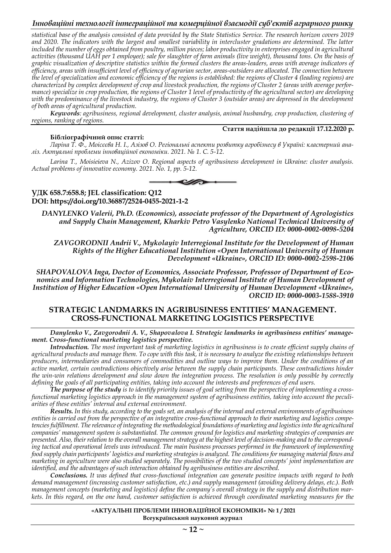*statistical base of the analysis consisted of data provided by the State Statistics Service. The research horizon covers 2019 and 2020. The indicators with the largest and smallest variability in intercluster gradations are determined. The latter included the number of eggs obtained from poultry, million pieces; labor productivity in enterprises engaged in agricultural activities (thousand UAH per 1 employee); sale for slaughter of farm animals (live weight), thousand tons. On the basis of graphic visualization of descriptive statistics within the formed clusters the areas-leaders, areas with average indicators of efficiency, areas with insufficient level of efficiency of agrarian sector, areas-outsiders are allocated. The connection between the level of specialization and economic efficiency of the regions is established: the regions of Cluster 4 (leading regions) are characterized by complex development of crop and livestock production, the regions of Cluster 2 (areas with average performance) specialize in crop production, the regions of Cluster 1 level of productivity of the agricultural sector) are developing with the predominance of the livestock industry, the regions of Cluster 3 (outsider areas) are depressed in the development of both areas of agricultural production.*

*Keywords: agribusiness, regional development, cluster analysis, animal husbandry, crop production, clustering of regions, ranking of regions.*

#### **Стаття надійшла до редакції 17.12.2020 р.**

#### **Бібліографічний опис статті:**

*Ларіна Т. Ф., Моісєєва Н. І., Азізов О. Регіональні аспекти розвитку агробізнесу в Україні: кластерний аналіз. Актуальні проблеми інноваційної економіки. 2021. № 1. С. 5-12.* 

*Larina T., Moisieieva N., Azizov O. Regional aspects of agribusiness development in Ukraine: cluster analysis. Actual problems of innovative economy. 2021. No. 1, pp. 5-12.*



### **УДК 658.7:658.8; JEL classification: Q12 DOI: https://doi.org/10.36887/2524-0455-2021-1-2**

*DANYLENKO Valerii, Ph.D. (Economics), associate professor of the Department of Agrologistics and Supply Chain Management, Kharkiv Petro Vasylenko National Technical University of Agriculture, ORCID ID: 0000-0002-0098-5204*

*ZAVGORODNII Andrii V., Mykolayiv Interregional Institute for the Development of Human Rights of the Higher Educational Institution «Open International University of Human Development «Ukraine», ORCID ID: 0000-0002-2598-2106*

*SHAPOVALOVA Inga, Doctor of Economics, Associate Professor, Professor of Department of Economics and Information Technologies, Mykolaiv Interregional Institute of Human Development of Institution of Higher Education «Open International University of Human Development «Ukraine», ORCID ID: 0000-0003-1588-3910* 

## **STRATEGIC LANDMARKS IN AGRIBUSINESS ENTITIES' MANAGEMENT. CROSS-FUNCTIONAL MARKETING LOGISTICS PERSPECTIVE**

*Danylenko V., Zavgorodnii A. V., Shapovalova I. Strategic landmarks in agribusiness entities' management. Cross-functional marketing logistics perspective.*

*Introduction. The most important task of marketing logistics in agribusiness is to create efficient supply chains of agricultural products and manage them. To cope with this task, it is necessary to analyze the existing relationships between producers, intermediaries and consumers of commodities and outline ways to improve them. Under the conditions of an active market, certain contradictions objectively arise between the supply chain participants. These contradictions hinder the win-win relations development and slow down the integration process. The resolution is only possible by correctly defining the goals of all participating entities, taking into account the interests and preferences of end users.*

*The purpose of the study is to identify priority issues of goal setting from the perspective of implementing a crossfunctional marketing logistics approach in the management system of agribusiness entities, taking into account the peculiarities of these entities' internal and external environment.*

*Results. In this study, according to the goals set, an analysis of the internal and external environments of agribusiness entities is carried out from the perspective of an integrative cross-functional approach to their marketing and logistics competencies fulfillment. The relevance of integrating the methodological foundations of marketing and logistics into the agricultural companies' management system is substantiated. The common ground for logistics and marketing strategies of companies are presented. Also, their relation to the overall management strategy at the highest level of decision-making and to the corresponding tactical and operational levels was introduced. The main business processes performed in the framework of implementing food supply chain participants' logistics and marketing strategies is analyzed. The conditions for managing material flows and marketing in agriculture were also studied separately. The possibilities of the two studied concepts' joint implementation are identified, and the advantages of such interaction obtained by agribusiness entities are described.*

*Conclusions. It was defined that cross-functional integration can generate positive impacts with regard to both demand management (increasing customer satisfaction, etc.) and supply management (avoiding delivery delays, etc.). Both management concepts (marketing and logistics) define the company's overall strategy in the supply and distribution markets. In this regard, on the one hand, customer satisfaction is achieved through coordinated marketing measures for the*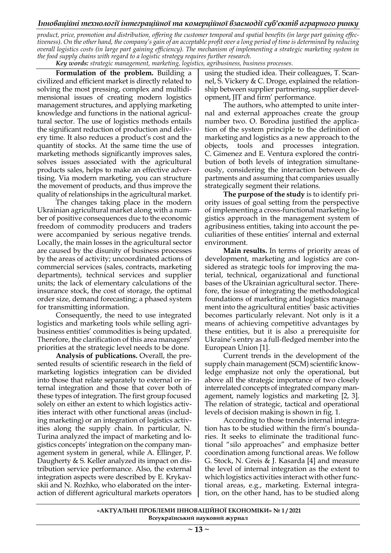*product, price, promotion and distribution, offering the customer temporal and spatial benefits (in large part gaining effectiveness). On the other hand, the company's gain of an acceptable profit over a long period of time is determined by reducing overall logistics costs (in large part gaining efficiency). The mechanism of implementing a strategic marketing system in the food supply chains with regard to a logistic strategy requires further research.*

*Key words: strategic management, marketing, logistics, agribusiness, business processes.*

**Formulation of the problem.** Building a civilized and efficient market is directly related to solving the most pressing, complex and multidimensional issues of creating modern logistics management structures, and applying marketing knowledge and functions in the national agricultural sector. The use of logistics methods entails the significant reduction of production and delivery time. It also reduces a product's cost and the quantity of stocks. At the same time the use of marketing methods significantly improves sales, solves issues associated with the agricultural products sales, helps to make an effective advertising. Via modern marketing, you can structure the movement of products, and thus improve the quality of relationships in the agricultural market.

The changes taking place in the modern Ukrainian agricultural market along with a number of positive consequences due to the economic freedom of commodity producers and traders were accompanied by serious negative trends. Locally, the main losses in the agricultural sector are caused by the disunity of business processes by the areas of activity; uncoordinated actions of commercial services (sales, contracts, marketing departments), technical services and supplier units; the lack of elementary calculations of the insurance stock, the cost of storage, the optimal order size, demand forecasting; a phased system for transmitting information.

Consequently, the need to use integrated logistics and marketing tools while selling agribusiness entities' commodities is being updated. Therefore, the clarification of this area managers' priorities at the strategic level needs to be done.

**Analysis of publications.** Overall, the presented results of scientific research in the field of marketing logistics integration can be divided into those that relate separately to external or internal integration and those that cover both of these types of integration. The first group focused solely on either an extent to which logistics activities interact with other functional areas (including marketing) or an integration of logistics activities along the supply chain. In particular, N. Turina analyzed the impact of marketing and logistics concepts' integration on the company management system in general, while A. Ellinger, P. Daugherty & S. Keller analyzed its impact on distribution service performance. Also, the external integration aspects were described by E. Krykavskii and N. Rozhko, who elaborated on the interaction of different agricultural markets operators using the studied idea. Their colleagues, T. Scannel, S. Vickery & C. Droge, explained the relationship between supplier partnering, supplier development, JIT and firm' performance.

The authors, who attempted to unite internal and external approaches create the group number two. O. Borodina justified the application of the system principle to the definition of marketing and logistics as a new approach to the objects, tools and processes integration. C. Gimenez and E. Ventura explored the contribution of both levels of integration simultaneously, considering the interaction between departments and assuming that companies usually strategically segment their relations.

**The purpose of the study** is to identify priority issues of goal setting from the perspective of implementing a cross-functional marketing logistics approach in the management system of agribusiness entities, taking into account the peculiarities of these entities' internal and external environment.

**Main results.** In terms of priority areas of development, marketing and logistics are considered as strategic tools for improving the material, technical, organizational and functional bases of the Ukrainian agricultural sector. Therefore, the issue of integrating the methodological foundations of marketing and logistics management into the agricultural entities' basic activities becomes particularly relevant. Not only is it a means of achieving competitive advantages by these entities, but it is also a prerequisite for Ukraine's entry as a full-fledged member into the European Union [1].

Current trends in the development of the supply chain management (SCM) scientific knowledge emphasize not only the operational, but above all the strategic importance of two closely interrelated concepts of integrated company management, namely logistics and marketing [2, 3]. The relation of strategic, tactical and operational levels of decision making is shown in fig. 1.

According to those trends internal integration has to be studied within the firm's boundaries. It seeks to eliminate the traditional functional "silo approaches" and emphasize better coordination among functional areas. We follow G. Stock, N. Greis & J. Kasarda [4] and measure the level of internal integration as the extent to which logistics activities interact with other functional areas, e.g., marketing. External integration, on the other hand, has to be studied along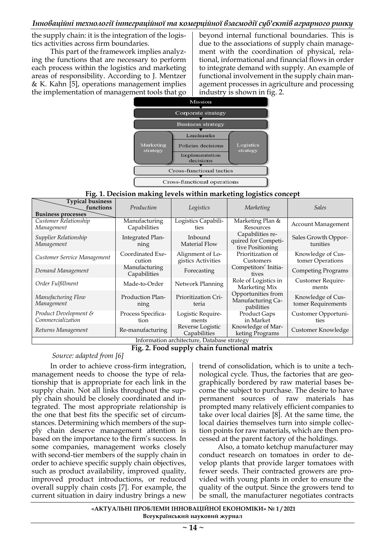the supply chain: it is the integration of the logistics activities across firm boundaries.

This part of the framework implies analyzing the functions that are necessary to perform each process within the logistics and marketing areas of responsibility. According to J. Mentzer & K. Kahn [5], operations management implies the implementation of management tools that go

beyond internal functional boundaries. This is due to the associations of supply chain management with the coordination of physical, relational, informational and financial flows in order to integrate demand with supply. An example of functional involvement in the supply chain management processes in agriculture and processing industry is shown in fig. 2.



## **Fig. 1. Decision making levels within marketing logistics concept**

| <b>Typical business</b><br>functions<br><b>Business processes</b> | Production                      | Logistics                              | Marketing                                                   | <b>Sales</b>                            |  |  |
|-------------------------------------------------------------------|---------------------------------|----------------------------------------|-------------------------------------------------------------|-----------------------------------------|--|--|
| Customer Relationship<br>Management                               | Manufacturing<br>Capabilities   | Logistics Capabili-<br>ties            | Marketing Plan &<br>Resources                               | <b>Account Management</b>               |  |  |
| Supplier Relationship<br>Management                               | Integrated Plan-<br>ning        | Inbound<br>Material Flow               | Capabilities re-<br>quired for Competi-<br>tive Positioning | Sales Growth Oppor-<br>tunities         |  |  |
| Customer Service Management                                       | Coordinated Exe-<br>cution      | Alignment of Lo-<br>gistics Activities | Prioritization of<br>Customers                              | Knowledge of Cus-<br>tomer Operations   |  |  |
| Demand Management                                                 | Manufacturing<br>Capabilities   | Forecasting                            | Competitors' Initia-<br>tives                               | <b>Competing Programs</b>               |  |  |
| Order Fulfillment                                                 | Made-to-Order                   | Network Planning                       | Role of Logistics in<br>Marketing Mix                       | Customer Require-<br>ments              |  |  |
| Manufacturing Flow<br>Management                                  | <b>Production Plan-</b><br>ning | Prioritization Cri-<br>teria           | Opportunities from<br>Manufacturing Ca-<br>pabilities       | Knowledge of Cus-<br>tomer Requirements |  |  |
| Product Development &<br>Commercialization                        | Process Specifica-<br>tion      | Logistic Require-<br>ments             | Product Gaps<br>in Market                                   | Customer Opportuni-<br>ties             |  |  |
| Returns Management                                                | Re-manufacturing                | Reverse Logistic<br>Capabilities       | Knowledge of Mar-<br>keting Programs                        | Customer Knowledge                      |  |  |
| Information architecture, Database strategy                       |                                 |                                        |                                                             |                                         |  |  |

**Fig. 2. Food supply chain functional matrix**

# *Source: adapted from [6]*

In order to achieve cross-firm integration, management needs to choose the type of relationship that is appropriate for each link in the supply chain. Not all links throughout the supply chain should be closely coordinated and integrated. The most appropriate relationship is the one that best fits the specific set of circumstances. Determining which members of the supply chain deserve management attention is based on the importance to the firm's success. In some companies, management works closely with second-tier members of the supply chain in order to achieve specific supply chain objectives, such as product availability, improved quality, improved product introductions, or reduced overall supply chain costs [7]. For example, the current situation in dairy industry brings a new

trend of consolidation, which is to unite a technological cycle. Thus, the factories that are geographically bordered by raw material bases become the subject to purchase. The desire to have permanent sources of raw materials has prompted many relatively efficient companies to take over local dairies [8]. At the same time, the local dairies themselves turn into simple collection points for raw materials, which are then processed at the parent factory of the holdings.

Also, a tomato ketchup manufacturer may conduct research on tomatoes in order to develop plants that provide larger tomatoes with fewer seeds. Their contracted growers are provided with young plants in order to ensure the quality of the output. Since the growers tend to be small, the manufacturer negotiates contracts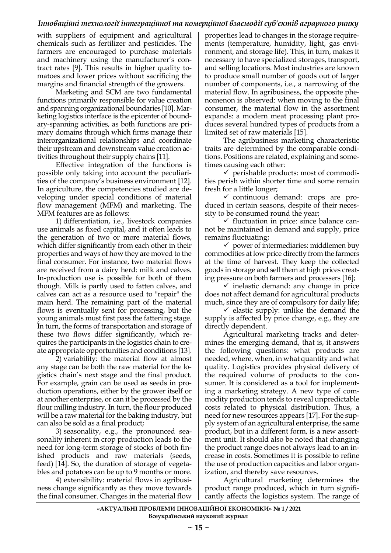with suppliers of equipment and agricultural chemicals such as fertilizer and pesticides. The farmers are encouraged to purchase materials and machinery using the manufacturer's contract rates [9]. This results in higher quality tomatoes and lower prices without sacrificing the margins and financial strength of the growers.

Marketing and SCM are two fundamental functions primarily responsible for value creation and spanning organizational boundaries [10]. Marketing logistics interface is the epicenter of boundary-spanning activities, as both functions are primary domains through which firms manage their interorganizational relationships and coordinate their upstream and downstream value creation activities throughout their supply chains [11].

Effective integration of the functions is possible only taking into account the peculiarities of the company's business environment [12]. In agriculture, the competencies studied are developing under special conditions of material flow management (MFM) and marketing. The MFM features are as follows:

1) differentiation, i.e., livestock companies use animals as fixed capital, and it often leads to the generation of two or more material flows, which differ significantly from each other in their properties and ways of how they are moved to the final consumer. For instance, two material flows are received from a dairy herd: milk and calves. In-production use is possible for both of them though. Milk is partly used to fatten calves, and calves can act as a resource used to "repair" the main herd. The remaining part of the material flows is eventually sent for processing, but the young animals must first pass the fattening stage. In turn, the forms of transportation and storage of these two flows differ significantly, which requires the participants in the logistics chain to create appropriate opportunities and conditions [13].

2) variability: the material flow at almost any stage can be both the raw material for the logistics chain's next stage and the final product. For example, grain can be used as seeds in production operations, either by the grower itself or at another enterprise, or can it be processed by the flour milling industry. In turn, the flour produced will be a raw material for the baking industry, but can also be sold as a final product;

3) seasonality, e.g., the pronounced seasonality inherent in crop production leads to the need for long-term storage of stocks of both finished products and raw materials (seeds, feed) [14]. So, the duration of storage of vegetables and potatoes can be up to 9 months or more.

4) extensibility: material flows in agribusiness change significantly as they move towards the final consumer. Changes in the material flow

properties lead to changes in the storage requirements (temperature, humidity, light, gas environment, and storage life). This, in turn, makes it necessary to have specialized storages, transport, and selling locations. Most industries are known to produce small number of goods out of larger number of components, i.e., a narrowing of the material flow. In agribusiness, the opposite phenomenon is observed: when moving to the final consumer, the material flow in the assortment expands: a modern meat processing plant produces several hundred types of products from a limited set of raw materials [15].

The agribusiness marketing characteristic traits are determined by the comparable conditions. Positions are related, explaining and sometimes causing each other:

 $\checkmark$  perishable products: most of commodities perish within shorter time and some remain fresh for a little longer;

✓ continuous demand: crops are produced in certain seasons, despite of their necessity to be consumed round the year;

✓ fluctuation in price: since balance cannot be maintained in demand and supply, price remains fluctuating;

 $\checkmark$  power of intermediaries: middlemen buy commodities at low price directly from the farmers at the time of harvest. They keep the collected goods in storage and sell them at high prices creating pressure on both farmers and processers [16];

 $\checkmark$  inelastic demand: any change in price does not affect demand for agricultural products much, since they are of compulsory for daily life;

 $\checkmark$  elastic supply: unlike the demand the supply is affected by price change, e.g., they are directly dependent.

Agricultural marketing tracks and determines the emerging demand, that is, it answers the following questions: what products are needed, where, when, in what quantity and what quality. Logistics provides physical delivery of the required volume of products to the consumer. It is considered as a tool for implementing a marketing strategy. A new type of commodity production tends to reveal unpredictable costs related to physical distribution. Thus, a need for new resources appears [17]. For the supply system of an agricultural enterprise, the same product, but in a different form, is a new assortment unit. It should also be noted that changing the product range does not always lead to an increase in costs. Sometimes it is possible to refine the use of production capacities and labor organization, and thereby save resources.

Agricultural marketing determines the product range produced, which in turn significantly affects the logistics system. The range of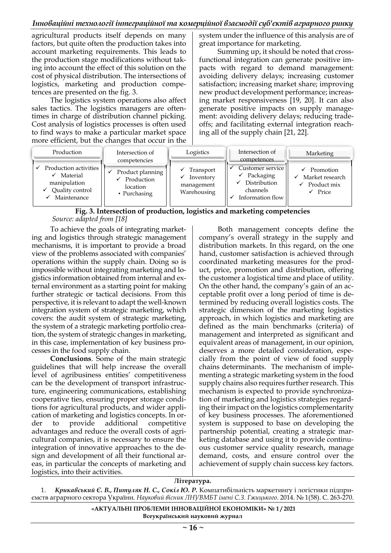agricultural products itself depends on many factors, but quite often the production takes into account marketing requirements. This leads to the production stage modifications without taking into account the effect of this solution on the cost of physical distribution. The intersections of logistics, marketing and production competences are presented on the fig. 3.

The logistics system operations also affect sales tactics. The logistics managers are oftentimes in charge of distribution channel picking. Cost analysis of logistics processes is often used to find ways to make a particular market space more efficient, but the changes that occur in the system under the influence of this analysis are of great importance for marketing.

Summing up, it should be noted that crossfunctional integration can generate positive impacts with regard to demand management: avoiding delivery delays; increasing customer satisfaction; increasing market share; improving new product development performance; increasing market responsiveness [19, 20]. It can also generate positive impacts on supply management: avoiding delivery delays; reducing tradeoffs; and facilitating external integration reaching all of the supply chain [21, 22].

| Production                                                                                       | Intersection of<br>competencies                                         | Logistics                                           | Intersection of<br>competences                                                                           | Marketing                                                                                   |
|--------------------------------------------------------------------------------------------------|-------------------------------------------------------------------------|-----------------------------------------------------|----------------------------------------------------------------------------------------------------------|---------------------------------------------------------------------------------------------|
| Production activities<br>$\checkmark$ Material<br>manipulation<br>Quality control<br>Maintenance | Product planning<br>$\checkmark$ Production<br>location<br>• Purchasing | Transport<br>Inventory<br>management<br>Warehousing | Customer service <sup>  </sup><br>$\checkmark$ Packaging<br>Distribution<br>channels<br>Information flow | $\checkmark$ Promotion<br>Market research<br>$\checkmark$ Product mix<br>$\checkmark$ Price |

## **Fig. 3. Intersection of production, logistics and marketing competencies** *Source: adapted from [18]*

To achieve the goals of integrating marketing and logistics through strategic management mechanisms, it is important to provide a broad view of the problems associated with companies' operations within the supply chain. Doing so is impossible without integrating marketing and logistics information obtained from internal and external environment as a starting point for making further strategic or tactical decisions. From this perspective, it is relevant to adapt the well-known integration system of strategic marketing, which covers: the audit system of strategic marketing, the system of a strategic marketing portfolio creation, the system of strategic changes in marketing, in this case, implementation of key business processes in the food supply chain.

**Conclusions**. Some of the main strategic guidelines that will help increase the overall level of agribusiness entities' competitiveness can be the development of transport infrastructure, engineering communications, establishing cooperative ties, ensuring proper storage conditions for agricultural products, and wider application of marketing and logistics concepts. In order to provide additional competitive advantages and reduce the overall costs of agricultural companies, it is necessary to ensure the integration of innovative approaches to the design and development of all their functional areas, in particular the concepts of marketing and logistics, into their activities.

Both management concepts define the company's overall strategy in the supply and distribution markets. In this regard, on the one hand, customer satisfaction is achieved through coordinated marketing measures for the product, price, promotion and distribution, offering the customer a logistical time and place of utility. On the other hand, the company's gain of an acceptable profit over a long period of time is determined by reducing overall logistics costs. The strategic dimension of the marketing logistics approach, in which logistics and marketing are defined as the main benchmarks (criteria) of management and interpreted as significant and equivalent areas of management, in our opinion, deserves a more detailed consideration, especially from the point of view of food supply chains determinants. The mechanism of implementing a strategic marketing system in the food supply chains also requires further research. This mechanism is expected to provide synchronization of marketing and logistics strategies regarding their impact on the logistics complementarity of key business processes. The aforementioned system is supposed to base on developing the partnership potential, creating a strategic marketing database and using it to provide continuous customer service quality research, manage demand, costs, and ensure control over the achievement of supply chain success key factors.

## **Література.**

1. *Крикавський Є. В., Питуляк Н. С., Сокіл Ю. Р.* Компатибільність маркетингу і логістики підприємств аграрного сектора України. *Науковий вісник ЛНУВМБТ імені С.З. Гжицького*. 2014. № 1(58). С. 263-270.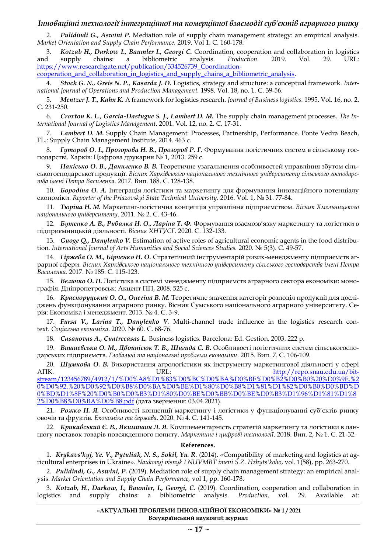2. *Pulidindi G., Aswini P.* Mediation role of supply chain management strategy: an empirical analysis. *Market Orientation and Supply Chain Performance.* 2019. Vol 1. С. 160-178.

3. *Kotzab H., Darkow I., Baumler I., Georgi C.* Coordination, cooperation and collaboration in logistics and supply chains: a bibliometric analysis. *Production*. 2019. Vol. 29. URL: [https://www.researchgate.net/publication/334526739\\_Coordination-](https://www.researchgate.net/publication/334526739_Coordination-cooperation_and_collaboration_in_logistics_and_supply_chains_a_bibliometric_analysis)

[cooperation\\_and\\_collaboration\\_in\\_logistics\\_and\\_supply\\_chains\\_a\\_bibliometric\\_analysis.](https://www.researchgate.net/publication/334526739_Coordination-cooperation_and_collaboration_in_logistics_and_supply_chains_a_bibliometric_analysis)

4. *Stock G. N., Greis N. P., Kasarda J. D.* Logistics, strategy and structure: a conceptual framework. *International Journal of Operations and Production Management.* 1998. Vol. 18, no. 1. С. 39-56.

5. *Mentzer J. T., Kahn K.* A framework for logistics research. *Journal of Business logistics.* 1995. Vol. 16, no. 2. С. 231-250.

6. *Croxton K. L., Garcia-Dastugue S. J., Lambert D. M.* The supply chain management processes. *The International Journal of Logistics Management*. 2001. Vol. 12, no. 2. С. 17-31.

7. *Lambert D. M.* Supply Chain Management: Processes, Partnership, Performance. Ponte Vedra Beach, FL.: Supply Chain Management Institute, 2014. 463 с.

8. *Гуторов О. І., Прозорова Н. В., Прозоров Р. Г.* Формування логістичних систем в сільському господарстві. Харків: Цифрова друкарня № 1, 2013. 259 с.

9. *Накісько О. В., Даниленко В. В.* Теоретичне узагальнення особливостей управління збутом сільськогосподарської продукції. *Вісник Харківського національного технічного університету сільського господарства імені Петра Василенка*. 2017. Вип. 188. С. 128-138.

10. *Бородіна О. А.* Інтеграція логістики та маркетингу для формування інноваційного потенціалу економіки. *Reporter of the Priazovskyi State Technical University*. 2016. Vol. 1, № 31. 77-84.

11. *Тюріна Н. М.* Маркетинг-логістична концепція управління підприємством. *Вісник Хмельницького національного університету*. 2011. № 2. С. 43-46.

12. *Бутенко А. В., Рибалка Н. О., Ларіна Т. Ф.* Формування взаємозв'язку маркетингу та логістики в підприємницькій діяльності. *Вісник ХНТУСГ.* 2020. С. 132-133.

13. *Guoge Q., Danylenko V.* Estimation of active roles of agricultural economic agents in the food distribution. *International Journal of Arts Humanities and Social Sciences Studies.* 2020. № 5(3). С. 49-57.

14. *Гіржева О. М., Бірченко Н. О.* Стратегічний інструментарій ризик-менеджменту підприємств аграрної сфери. *Вісник Харківського національного технічного університету сільського господарства імені Петра Василенка.* 2017. № 185. С. 115-123.

15. *Величко О. П.* Логістика в системі менеджменту підприємств аграрного сектора економіки: монографія. Дніпропетровськ: Акцент ПП, 2008. 525 с.

16. *Красноруцький О. О., Онегіна В. М.* Теоретичне значення категорії розподіл продукції для досліджень функціонування аграрного ринку. Вісник Сумського національного аграрного університету. Серія: Економіка і менеджмент. 2013. № 4. С. 3-9.

17. *Fursa V., Larina T., Danylenko V.* Multi-channel trade influence in the logistics research context. *Соціальна економіка*. 2020. № 60. С. 68-76.

18. *Casanovas A., Cuatrecasas L.* Business logistics. Barcelona: Ed. Gestion, 2003. 222 p.

19. *Вишневська О. М., Двойнісюк Т. В., Шигида С. В.* Особливості логістичних систем сільськогосподарських підприємств. *Глобальні та національні проблеми економіки*. 2015. Вип. 7. С. 106-109.

20. *Шумкова О. В.* Використання агрологістики як інструменту маркетингової діяльності у сфері АПК. URL: [http://repo.snau.edu.ua/bit](http://repo.snau.edu.ua/bitstream/123456789/4912/1/%D0%A8%D1%83%D0%BC%D0%BA%D0%BE%D0%B2%D0%B0%20%D0%9E.%20%D0%92.%20%D0%92%D0%B8%D0%BA%D0%BE%D1%80%D0%B8%D1%81%D1%82%D0%B0%D0%BD%D0%BD%D1%8F%20%D0%B0%D0%B3%D1%80%D0%BE%D0%BB%D0%BE%D0%B3%D1%96%D1%81%D1%82%D0%B8%D0%BA%D0%B8.pdf)[stream/123456789/4912/1/%D0%A8%D1%83%D0%BC%D0%BA%D0%BE%D0%B2%D0%B0%20%D0%9E.%2](http://repo.snau.edu.ua/bitstream/123456789/4912/1/%D0%A8%D1%83%D0%BC%D0%BA%D0%BE%D0%B2%D0%B0%20%D0%9E.%20%D0%92.%20%D0%92%D0%B8%D0%BA%D0%BE%D1%80%D0%B8%D1%81%D1%82%D0%B0%D0%BD%D0%BD%D1%8F%20%D0%B0%D0%B3%D1%80%D0%BE%D0%BB%D0%BE%D0%B3%D1%96%D1%81%D1%82%D0%B8%D0%BA%D0%B8.pdf) [0%D0%92.%20%D0%92%D0%B8%D0%BA%D0%BE%D1%80%D0%B8%D1%81%D1%82%D0%B0%D0%BD%D](http://repo.snau.edu.ua/bitstream/123456789/4912/1/%D0%A8%D1%83%D0%BC%D0%BA%D0%BE%D0%B2%D0%B0%20%D0%9E.%20%D0%92.%20%D0%92%D0%B8%D0%BA%D0%BE%D1%80%D0%B8%D1%81%D1%82%D0%B0%D0%BD%D0%BD%D1%8F%20%D0%B0%D0%B3%D1%80%D0%BE%D0%BB%D0%BE%D0%B3%D1%96%D1%81%D1%82%D0%B8%D0%BA%D0%B8.pdf) [0%BD%D1%8F%20%D0%B0%D0%B3%D1%80%D0%BE%D0%BB%D0%BE%D0%B3%D1%96%D1%81%D1%8](http://repo.snau.edu.ua/bitstream/123456789/4912/1/%D0%A8%D1%83%D0%BC%D0%BA%D0%BE%D0%B2%D0%B0%20%D0%9E.%20%D0%92.%20%D0%92%D0%B8%D0%BA%D0%BE%D1%80%D0%B8%D1%81%D1%82%D0%B0%D0%BD%D0%BD%D1%8F%20%D0%B0%D0%B3%D1%80%D0%BE%D0%BB%D0%BE%D0%B3%D1%96%D1%81%D1%82%D0%B8%D0%BA%D0%B8.pdf) [2%D0%B8%D0%BA%D0%B8.pdf](http://repo.snau.edu.ua/bitstream/123456789/4912/1/%D0%A8%D1%83%D0%BC%D0%BA%D0%BE%D0%B2%D0%B0%20%D0%9E.%20%D0%92.%20%D0%92%D0%B8%D0%BA%D0%BE%D1%80%D0%B8%D1%81%D1%82%D0%B0%D0%BD%D0%BD%D1%8F%20%D0%B0%D0%B3%D1%80%D0%BE%D0%BB%D0%BE%D0%B3%D1%96%D1%81%D1%82%D0%B8%D0%BA%D0%B8.pdf) (дата звернення: 03.04.2021).

21. *Рожко Н. Я.* Особливості концепції маркетингу і логістики у функціонуванні суб'єктів ринку овочів та фруктів. *Економіка та держава*. 2020. № 4. С. 141-145.

22. *Крикавський Є. В., Якимишин Л. Я.* Комплементарність стратегій маркетингу та логістики в ланцюгу поставок товарів повсякденного попиту. *Маркетинг і цифрові технології*. 2018. Вип. 2, № 1. С. 21-32.

#### **References**.

1. *Krykavs'kyj, Ye. V., Pytuliak, N. S., Sokil, Yu. R.* (2014). «Compatibility of marketing and logistics at agricultural enterprises in Ukraine». *Naukovyj visnyk LNUVMBT imeni S.Z. Hzhyts'koho*, vol. 1(58), pp. 263-270.

2. *Pulidindi, G., Aswini, P.* (2019). Mediation role of supply chain management strategy: an empirical analysis. *Market Orientation and Supply Chain Performance,* vol 1, pp. 160-178.

3. *Kotzab, H., Darkow, I., Baumler, I., Georgi, C.* (2019). Coordination, cooperation and collaboration in logistics and supply chains: a bibliometric analysis. *Production,* vol. 29. Available at: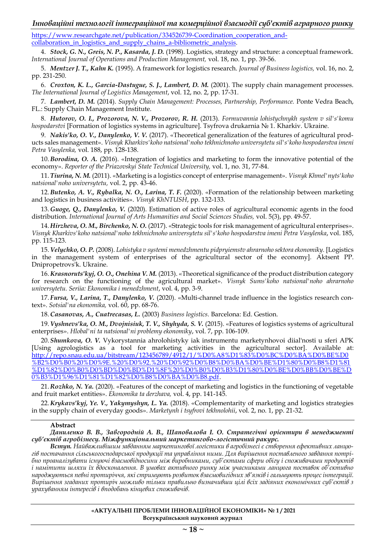[https://www.researchgate.net/publication/334526739-Coordination\\_cooperation\\_and](https://www.researchgate.net/publication/334526739-Coordination_cooperation_and-collaboration_in_logistics_and_supply_chains_a-bibliometric_analysis)[collaboration\\_in\\_logistics\\_and\\_supply\\_chains\\_a-bibliometric\\_analysis.](https://www.researchgate.net/publication/334526739-Coordination_cooperation_and-collaboration_in_logistics_and_supply_chains_a-bibliometric_analysis)

4. *Stock, G. N., Greis, N. P., Kasarda, J. D.* (1998). Logistics, strategy and structure: a conceptual framework. *International Journal of Operations and Production Management,* vol. 18, no. 1, pp. 39-56.

5. *Mentzer J. T., Kahn K.* (1995). A framework for logistics research. *Journal of Business logistics,* vol. 16, no. 2, pp. 231-250.

6. *Croxton, K. L., Garcia-Dastugue, S. J., Lambert, D. M.* (2001). The supply chain management processes. *The International Journal of Logistics Management*, vol. 12, no. 2, pp. 17-31.

7. *Lambert, D. M.* (2014). *Supply Chain Management: Processes, Partnership, Performance.* Ponte Vedra Beach, FL.: Supply Chain Management Institute.

8. *Hutorov, O. I., Prozorova, N. V., Prozorov, R. H.* (2013). *Formuvannia lohistychnykh system v sil's'komu hospodarstvi* [Formation of logistics systems in agriculture]. Tsyfrova drukarnia № 1. Kharkiv. Ukraine.

9. *Nakis'ko, O. V., Danylenko, V. V.* (2017). «Theoretical generalization of the features of agricultural products sales management». *Visnyk Kharkivs'koho natsional'noho tekhnichnoho universytetu sil's'koho hospodarstva imeni Petra Vasylenka,* vol. 188, pp. 128-138.

10.*Borodina, O. A.* (2016). «Integration of logistics and marketing to form the innovative potential of the economy». *Reporter of the Priazovskyi State Technical University,* vol. 1, no. 31, 77-84.

11. *Tiurina, N. M.* (2011). «Marketing is a logistics concept of enterprise management». *Visnyk Khmel'nyts'koho natsional'noho universytetu,* vol. 2, pp. 43-46.

12.*Butenko, A. V., Rybalka, N. O., Larina, T. F.* (2020). «Formation of the relationship between marketing and logistics in business activities». *Visnyk KhNTUSH*, pp. 132-133.

13. *Guoge, Q., Danylenko, V.* (2020). Estimation of active roles of agricultural economic agents in the food distribution. *International Journal of Arts Humanities and Social Sciences Studies,* vol. 5(3), pp. 49-57.

14. *Hirzheva, O. M., Birchenko, N. O.* (2017). «Strategic tools for risk management of agricultural enterprises». *Visnyk Kharkivs'koho natsional'noho tekhnichnoho universytetu sil's'koho hospodarstva imeni Petra Vasylenka*, vol. 185, pp. 115-123.

15.*Velychko, O. P.* (2008). *Lohistyka v systemi menedzhmentu pidpryiemstv ahrarnoho sektora ekonomiky.* [Logistics in the management system of enterprises of the agricultural sector of the economy]*.* Aktsent PP. Dnipropetrovs'k. Ukraine.

16. *Krasnoruts'kyj, O. O., Onehina V. M.* (2013). «Theoretical significance of the product distribution category for research on the functioning of the agricultural market». *Visnyk Sums'koho natsional'noho ahrarnoho universytetu. Seriia: Ekonomika i menedzhment*, vol. 4, pp. 3-9.

17. *Fursa, V., Larina, T., Danylenko, V.* (2020). «Multi-channel trade influence in the logistics research context». *Sotsial'na ekonomika,* vol. 60, pp. 68-76.

18.*Casanovas, A., Cuatrecasas, L.* (2003) *Business logistics.* Barcelona: Ed. Gestion.

19.*Vyshnevs'ka, O. M., Dvojnisiuk, T. V., Shyhyda, S. V.* (2015). «Features of logistics systems of agricultural enterprises». *Hlobal'ni ta natsional'ni problemy ekonomiky*, vol. 7, pp. 106-109.

20. *Shumkova, O. V.* Vykorystannia ahrolohistyky iak instrumentu marketynhovoi diial'nosti u sferi APK [Using agrologistics as a tool for marketing activities in the agricultural sector]. Available at: [http://repo.snau.edu.ua/bitstream/123456789/4912/1/%D0%A8%D1%83%D0%BC%D0%BA%D0%BE%D0](http://repo.snau.edu.ua/bitstream/123456789/4912/1/%D0%A8%D1%83%D0%BC%D0%BA%D0%BE%D0%B2%D0%B0%20%D0%9E.%20%D0%92.%20%D0%92%D0%B8%D0%BA%D0%BE%D1%80%D0%B8%D1%81%D1%82%D0%B0%D0%BD%D0%BD%D1%8F%20%D0%B0%D0%B3%D1%80%D0%BE%D0%BB%D0%BE%D0%B3%D1%96%D1%81%D1%82%D0%B8%D0%BA%D0%B8.pdf) [%B2%D0%B0%20%D0%9E.%20%D0%92.%20%D0%92%D0%B8%D0%BA%D0%BE%D1%80%D0%B8%D1%81](http://repo.snau.edu.ua/bitstream/123456789/4912/1/%D0%A8%D1%83%D0%BC%D0%BA%D0%BE%D0%B2%D0%B0%20%D0%9E.%20%D0%92.%20%D0%92%D0%B8%D0%BA%D0%BE%D1%80%D0%B8%D1%81%D1%82%D0%B0%D0%BD%D0%BD%D1%8F%20%D0%B0%D0%B3%D1%80%D0%BE%D0%BB%D0%BE%D0%B3%D1%96%D1%81%D1%82%D0%B8%D0%BA%D0%B8.pdf) [%D1%82%D0%B0%D0%BD%D0%BD%D1%8F%20%D0%B0%D0%B3%D1%80%D0%BE%D0%BB%D0%BE%D](http://repo.snau.edu.ua/bitstream/123456789/4912/1/%D0%A8%D1%83%D0%BC%D0%BA%D0%BE%D0%B2%D0%B0%20%D0%9E.%20%D0%92.%20%D0%92%D0%B8%D0%BA%D0%BE%D1%80%D0%B8%D1%81%D1%82%D0%B0%D0%BD%D0%BD%D1%8F%20%D0%B0%D0%B3%D1%80%D0%BE%D0%BB%D0%BE%D0%B3%D1%96%D1%81%D1%82%D0%B8%D0%BA%D0%B8.pdf) [0%B3%D1%96%D1%81%D1%82%D0%B8%D0%BA%D0%B8.pdf.](http://repo.snau.edu.ua/bitstream/123456789/4912/1/%D0%A8%D1%83%D0%BC%D0%BA%D0%BE%D0%B2%D0%B0%20%D0%9E.%20%D0%92.%20%D0%92%D0%B8%D0%BA%D0%BE%D1%80%D0%B8%D1%81%D1%82%D0%B0%D0%BD%D0%BD%D1%8F%20%D0%B0%D0%B3%D1%80%D0%BE%D0%BB%D0%BE%D0%B3%D1%96%D1%81%D1%82%D0%B8%D0%BA%D0%B8.pdf)

21. *Rozhko, N. Ya.* (2020). «Features of the concept of marketing and logistics in the functioning of vegetable and fruit market entities». *Ekonomika ta derzhava,* vol. 4, pp. 141-145.

22. *Krykavs'kyj, Ye. V., Yakymyshyn, L. Ya.* (2018). «Complementarity of marketing and logistics strategies in the supply chain of everyday goods». *Marketynh i tsyfrovi tekhnolohii*, vol. 2, no. 1, pp. 21-32.

#### **Abstract**

*Даниленко В. В., Завгородній А. В., Шаповалова І. О. Стратегічні орієнтири в менеджменті суб'єктів агробізнесу. Міжфункціональний маркетингово-логістичний ракурс.*

*Вступ. Найважливішим завданням маркетингової логістики в агробізнесі є створення ефективних ланцюгів постачання сільськогосподарської продукції та управління ними. Для вирішення поставленого завдання потрібно проаналізувати існуючі взаємовідносини між виробниками, суб'єктами сфери обігу і споживачами продуктів і намітити шляхи їх вдосконалення. В умовах активного ринку між учасниками ланцюга поставок об'єктивно народжуються певні протиріччя, які стримують розвиток взаємовигідних зв'язків і гальмують процес інтеграції. Вирішення згаданих протиріч можливо тільки правильно визначивши цілі всіх задіяних економічних суб'єктів з урахуванням інтересів і вподобань кінцевих споживачів.*